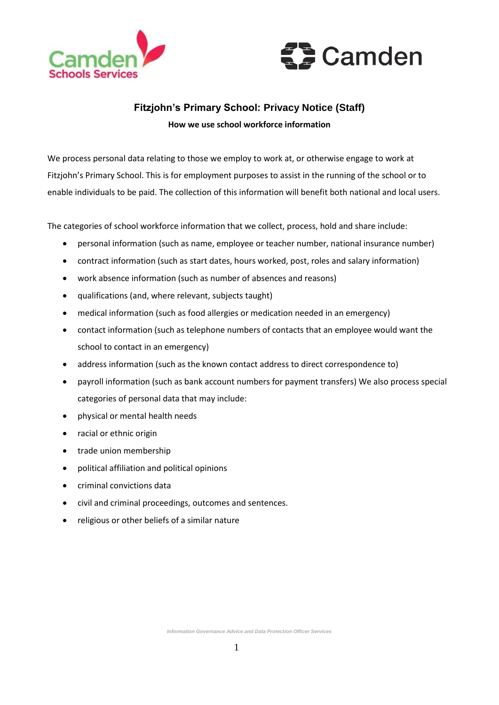



# **Fitzjohn's Primary School: Privacy Notice (Staff) How we use school workforce information**

We process personal data relating to those we employ to work at, or otherwise engage to work at Fitzjohn's Primary School. This is for employment purposes to assist in the running of the school or to enable individuals to be paid. The collection of this information will benefit both national and local users.

The categories of school workforce information that we collect, process, hold and share include:

- personal information (such as name, employee or teacher number, national insurance number)
- contract information (such as start dates, hours worked, post, roles and salary information)
- work absence information (such as number of absences and reasons)
- qualifications (and, where relevant, subjects taught)
- medical information (such as food allergies or medication needed in an emergency)
- contact information (such as telephone numbers of contacts that an employee would want the school to contact in an emergency)
- address information (such as the known contact address to direct correspondence to)
- payroll information (such as bank account numbers for payment transfers) We also process special categories of personal data that may include:
- physical or mental health needs
- racial or ethnic origin
- trade union membership
- political affiliation and political opinions
- criminal convictions data
- civil and criminal proceedings, outcomes and sentences.
- religious or other beliefs of a similar nature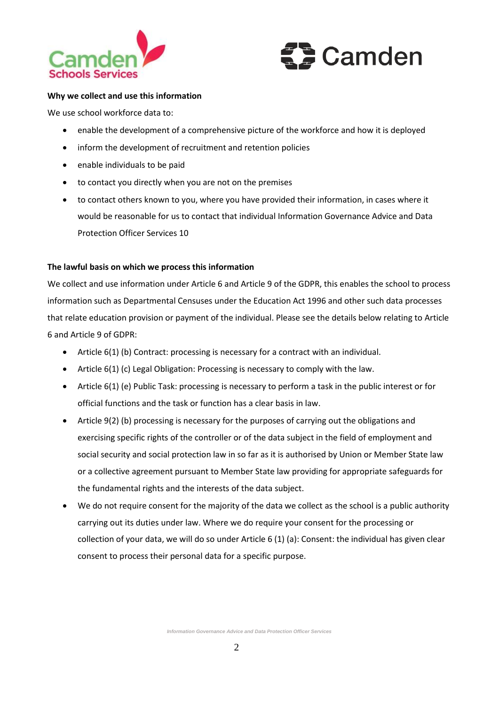



#### **Why we collect and use this information**

We use school workforce data to:

- enable the development of a comprehensive picture of the workforce and how it is deployed
- inform the development of recruitment and retention policies
- enable individuals to be paid
- to contact you directly when you are not on the premises
- to contact others known to you, where you have provided their information, in cases where it would be reasonable for us to contact that individual Information Governance Advice and Data Protection Officer Services 10

### **The lawful basis on which we process this information**

We collect and use information under Article 6 and Article 9 of the GDPR, this enables the school to process information such as Departmental Censuses under the Education Act 1996 and other such data processes that relate education provision or payment of the individual. Please see the details below relating to Article 6 and Article 9 of GDPR:

- Article 6(1) (b) Contract: processing is necessary for a contract with an individual.
- Article 6(1) (c) Legal Obligation: Processing is necessary to comply with the law.
- Article 6(1) (e) Public Task: processing is necessary to perform a task in the public interest or for official functions and the task or function has a clear basis in law.
- Article 9(2) (b) processing is necessary for the purposes of carrying out the obligations and exercising specific rights of the controller or of the data subject in the field of employment and social security and social protection law in so far as it is authorised by Union or Member State law or a collective agreement pursuant to Member State law providing for appropriate safeguards for the fundamental rights and the interests of the data subject.
- We do not require consent for the majority of the data we collect as the school is a public authority carrying out its duties under law. Where we do require your consent for the processing or collection of your data, we will do so under Article 6 (1) (a): Consent: the individual has given clear consent to process their personal data for a specific purpose.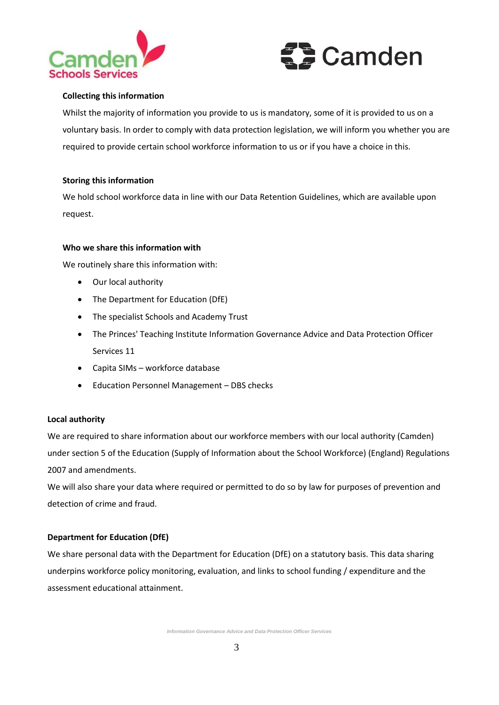



# **Collecting this information**

Whilst the majority of information you provide to us is mandatory, some of it is provided to us on a voluntary basis. In order to comply with data protection legislation, we will inform you whether you are required to provide certain school workforce information to us or if you have a choice in this.

### **Storing this information**

We hold school workforce data in line with our Data Retention Guidelines, which are available upon request.

### **Who we share this information with**

We routinely share this information with:

- Our local authority
- The Department for Education (DfE)
- The specialist Schools and Academy Trust
- The Princes' Teaching Institute Information Governance Advice and Data Protection Officer Services 11
- Capita SIMs workforce database
- Education Personnel Management DBS checks

### **Local authority**

We are required to share information about our workforce members with our local authority (Camden) under section 5 of the Education (Supply of Information about the School Workforce) (England) Regulations 2007 and amendments.

We will also share your data where required or permitted to do so by law for purposes of prevention and detection of crime and fraud.

### **Department for Education (DfE)**

We share personal data with the Department for Education (DfE) on a statutory basis. This data sharing underpins workforce policy monitoring, evaluation, and links to school funding / expenditure and the assessment educational attainment.

*Information Governance Advice and Data Protection Officer Services*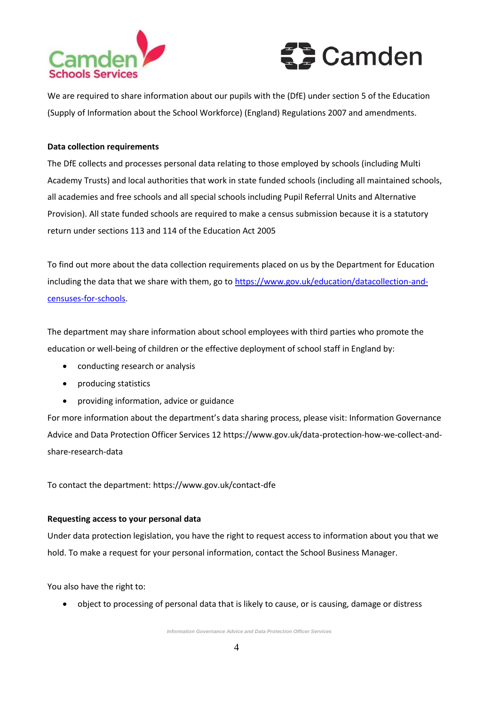



We are required to share information about our pupils with the (DfE) under section 5 of the Education (Supply of Information about the School Workforce) (England) Regulations 2007 and amendments.

## **Data collection requirements**

The DfE collects and processes personal data relating to those employed by schools (including Multi Academy Trusts) and local authorities that work in state funded schools (including all maintained schools, all academies and free schools and all special schools including Pupil Referral Units and Alternative Provision). All state funded schools are required to make a census submission because it is a statutory return under sections 113 and 114 of the Education Act 2005

To find out more about the data collection requirements placed on us by the Department for Education including the data that we share with them, go to [https://www.gov.uk/education/datacollection-and](https://www.gov.uk/education/datacollection-and-censuses-for-schools)[censuses-for-schools.](https://www.gov.uk/education/datacollection-and-censuses-for-schools)

The department may share information about school employees with third parties who promote the education or well-being of children or the effective deployment of school staff in England by:

- conducting research or analysis
- producing statistics
- providing information, advice or guidance

For more information about the department's data sharing process, please visit: Information Governance Advice and Data Protection Officer Services 12 https://www.gov.uk/data-protection-how-we-collect-andshare-research-data

To contact the department: https://www.gov.uk/contact-dfe

### **Requesting access to your personal data**

Under data protection legislation, you have the right to request access to information about you that we hold. To make a request for your personal information, contact the School Business Manager.

You also have the right to:

object to processing of personal data that is likely to cause, or is causing, damage or distress

*Information Governance Advice and Data Protection Officer Services*